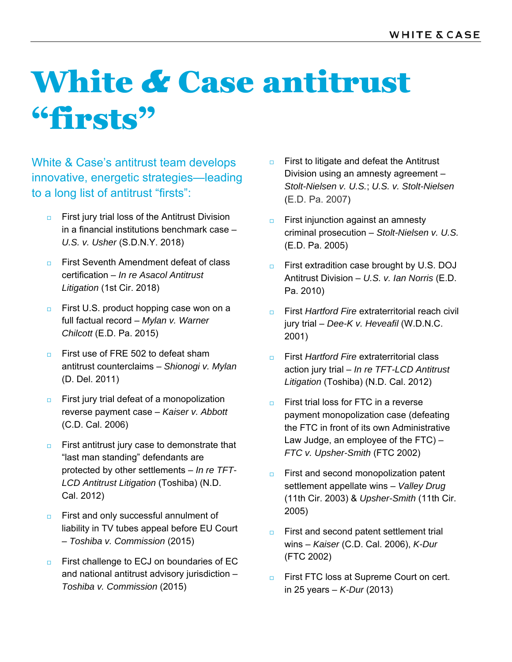## White *&* Case antitrust "firsts"

White & Case's antitrust team develops innovative, energetic strategies—leading to a long list of antitrust "firsts":

- **First jury trial loss of the Antitrust Division** in a financial institutions benchmark case – *U.S. v. Usher* (S.D.N.Y. 2018)
- **Example 2** First Seventh Amendment defeat of class certification – *In re Asacol Antitrust Litigation* (1st Cir. 2018)
- First U.S. product hopping case won on a full factual record – *Mylan v. Warner Chilcott* (E.D. Pa. 2015)
- $\Box$  First use of FRE 502 to defeat sham antitrust counterclaims – *Shionogi v. Mylan*  (D. Del. 2011)
- **First jury trial defeat of a monopolization** reverse payment case – *Kaiser v. Abbott* (C.D. Cal. 2006)
- $\Box$  First antitrust jury case to demonstrate that "last man standing" defendants are protected by other settlements – *In re TFT-LCD Antitrust Litigation* (Toshiba) (N.D. Cal. 2012)
- $\Box$  First and only successful annulment of liability in TV tubes appeal before EU Court – *Toshiba v. Commission* (2015)
- $\Box$  First challenge to ECJ on boundaries of EC and national antitrust advisory jurisdiction – *Toshiba v. Commission* (2015)
- $\Box$  First to litigate and defeat the Antitrust Division using an amnesty agreement – *Stolt-Nielsen v. U.S.*; *U.S. v. Stolt-Nielsen* (E.D. Pa. 2007)
- **First injunction against an amnesty** criminal prosecution – *Stolt-Nielsen v. U.S.* (E.D. Pa. 2005)
- □ First extradition case brought by U.S. DOJ Antitrust Division – *U.S. v. Ian Norris* (E.D. Pa. 2010)
- First *Hartford Fire* extraterritorial reach civil jury trial – *Dee-K v. Heveafil* (W.D.N.C. 2001)
- **First** *Hartford Fire* extraterritorial class action jury trial – *In re TFT-LCD Antitrust Litigation* (Toshiba) (N.D. Cal. 2012)
- $\Box$  First trial loss for FTC in a reverse payment monopolization case (defeating the FTC in front of its own Administrative Law Judge, an employee of the FTC) – *FTC v. Upsher-Smith* (FTC 2002)
- **First and second monopolization patent** settlement appellate wins – *Valley Drug* (11th Cir. 2003) & *Upsher-Smith* (11th Cir. 2005)
- **First and second patent settlement trial** wins – *Kaiser* (C.D. Cal. 2006), *K-Dur* (FTC 2002)
- **EXECC** loss at Supreme Court on cert. in 25 years – *K-Dur* (2013)